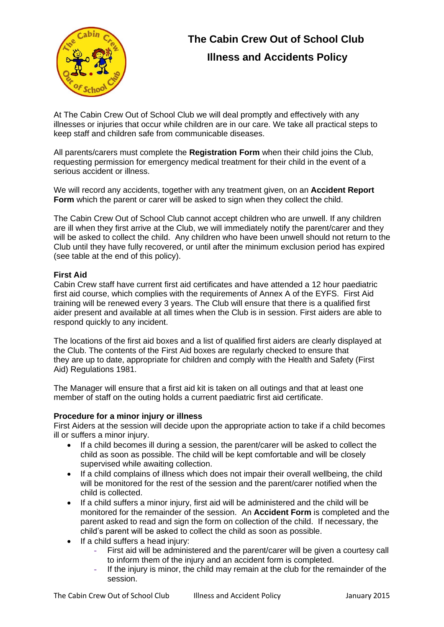

# **The Cabin Crew Out of School Club Illness and Accidents Policy**

At The Cabin Crew Out of School Club we will deal promptly and effectively with any illnesses or injuries that occur while children are in our care. We take all practical steps to keep staff and children safe from communicable diseases.

All parents/carers must complete the **Registration Form** when their child joins the Club, requesting permission for emergency medical treatment for their child in the event of a serious accident or illness.

We will record any accidents, together with any treatment given, on an **Accident Report Form** which the parent or carer will be asked to sign when they collect the child.

The Cabin Crew Out of School Club cannot accept children who are unwell. If any children are ill when they first arrive at the Club, we will immediately notify the parent/carer and they will be asked to collect the child. Any children who have been unwell should not return to the Club until they have fully recovered, or until after the minimum exclusion period has expired (see table at the end of this policy).

#### **First Aid**

Cabin Crew staff have current first aid certificates and have attended a 12 hour paediatric first aid course, which complies with the requirements of Annex A of the EYFS. First Aid training will be renewed every 3 years. The Club will ensure that there is a qualified first aider present and available at all times when the Club is in session. First aiders are able to respond quickly to any incident.

The locations of the first aid boxes and a list of qualified first aiders are clearly displayed at the Club. The contents of the First Aid boxes are regularly checked to ensure that they are up to date, appropriate for children and comply with the Health and Safety (First Aid) Regulations 1981.

The Manager will ensure that a first aid kit is taken on all outings and that at least one member of staff on the outing holds a current paediatric first aid certificate.

#### **Procedure for a minor injury or illness**

First Aiders at the session will decide upon the appropriate action to take if a child becomes ill or suffers a minor injury.

- If a child becomes ill during a session, the parent/carer will be asked to collect the child as soon as possible. The child will be kept comfortable and will be closely supervised while awaiting collection.
- If a child complains of illness which does not impair their overall wellbeing, the child will be monitored for the rest of the session and the parent/carer notified when the child is collected.
- If a child suffers a minor injury, first aid will be administered and the child will be monitored for the remainder of the session. An **Accident Form** is completed and the parent asked to read and sign the form on collection of the child. If necessary, the child's parent will be asked to collect the child as soon as possible.
- If a child suffers a head injury:
	- **-** First aid will be administered and the parent/carer will be given a courtesy call to inform them of the injury and an accident form is completed.
	- **-** If the injury is minor, the child may remain at the club for the remainder of the session.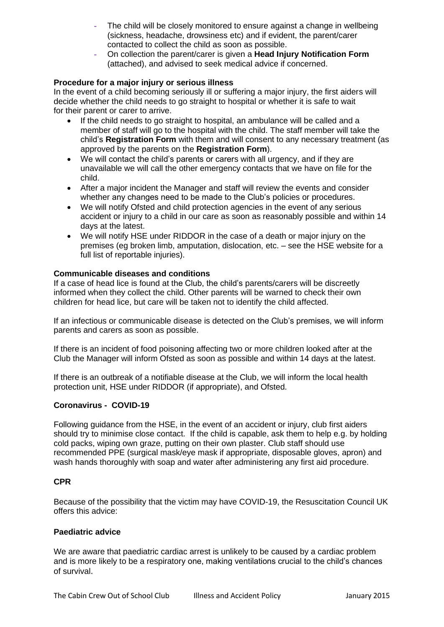- **-** The child will be closely monitored to ensure against a change in wellbeing (sickness, headache, drowsiness etc) and if evident, the parent/carer contacted to collect the child as soon as possible.
- **-** On collection the parent/carer is given a **Head Injury Notification Form**  (attached), and advised to seek medical advice if concerned.

#### **Procedure for a major injury or serious illness**

In the event of a child becoming seriously ill or suffering a major injury, the first aiders will decide whether the child needs to go straight to hospital or whether it is safe to wait for their parent or carer to arrive.

- If the child needs to go straight to hospital, an ambulance will be called and a member of staff will go to the hospital with the child. The staff member will take the child's **Registration Form** with them and will consent to any necessary treatment (as approved by the parents on the **Registration Form**).
- We will contact the child's parents or carers with all urgency, and if they are unavailable we will call the other emergency contacts that we have on file for the child.
- After a major incident the Manager and staff will review the events and consider whether any changes need to be made to the Club's policies or procedures.
- We will notify Ofsted and child protection agencies in the event of any serious accident or injury to a child in our care as soon as reasonably possible and within 14 days at the latest.
- We will notify HSE under RIDDOR in the case of a death or major injury on the premises (eg broken limb, amputation, dislocation, etc. – see the HSE website for a full list of reportable injuries).

#### **Communicable diseases and conditions**

If a case of head lice is found at the Club, the child's parents/carers will be discreetly informed when they collect the child. Other parents will be warned to check their own children for head lice, but care will be taken not to identify the child affected.

If an infectious or communicable disease is detected on the Club's premises, we will inform parents and carers as soon as possible.

If there is an incident of food poisoning affecting two or more children looked after at the Club the Manager will inform Ofsted as soon as possible and within 14 days at the latest.

If there is an outbreak of a notifiable disease at the Club, we will inform the local health protection unit, HSE under RIDDOR (if appropriate), and Ofsted.

#### **Coronavirus - COVID-19**

Following guidance from the HSE, in the event of an accident or injury, club first aiders should try to minimise close contact. If the child is capable, ask them to help e.g. by holding cold packs, wiping own graze, putting on their own plaster. Club staff should use recommended PPE (surgical mask/eye mask if appropriate, disposable gloves, apron) and wash hands thoroughly with soap and water after administering any first aid procedure.

#### **CPR**

Because of the possibility that the victim may have COVID-19, the Resuscitation Council UK offers this advice:

#### **Paediatric advice**

We are aware that paediatric cardiac arrest is unlikely to be caused by a cardiac problem and is more likely to be a respiratory one, making ventilations crucial to the child's chances of survival.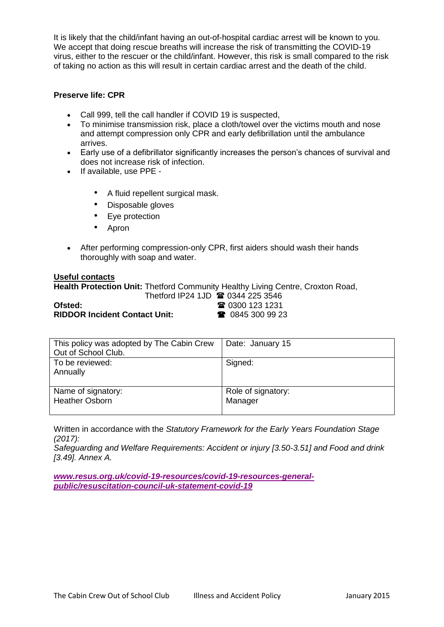It is likely that the child/infant having an out-of-hospital cardiac arrest will be known to you. We accept that doing rescue breaths will increase the risk of transmitting the COVID-19 virus, either to the rescuer or the child/infant. However, this risk is small compared to the risk of taking no action as this will result in certain cardiac arrest and the death of the child.

#### **Preserve life: CPR**

- Call 999, tell the call handler if COVID 19 is suspected,
- To minimise transmission risk, place a cloth/towel over the victims mouth and nose and attempt compression only CPR and early defibrillation until the ambulance arrives.
- Early use of a defibrillator significantly increases the person's chances of survival and does not increase risk of infection.
- If available, use PPE
	- A fluid repellent surgical mask.
	- Disposable gloves
	- Eye protection
	- Apron
- After performing compression-only CPR, first aiders should wash their hands thoroughly with soap and water.

#### **Useful contacts**

**Health Protection Unit:** Thetford Community Healthy Living Centre, Croxton Road,

|                                      | Thetford IP24 1JD <b>@ 0344 225 3546</b> |                          |
|--------------------------------------|------------------------------------------|--------------------------|
| Ofsted: .                            |                                          | <b>雷 0300 123 1231</b>   |
| <b>RIDDOR Incident Contact Unit:</b> |                                          | $\bullet$ 0845 300 99 23 |

| This policy was adopted by The Cabin Crew<br>Out of School Club. | Date: January 15              |
|------------------------------------------------------------------|-------------------------------|
| To be reviewed:<br>Annually                                      | Signed:                       |
| Name of signatory:<br><b>Heather Osborn</b>                      | Role of signatory:<br>Manager |

Written in accordance with the *Statutory Framework for the Early Years Foundation Stage (2017):*

*Safeguarding and Welfare Requirements: Accident or injury [3.50-3.51] and Food and drink [3.49]. Annex A.*

*[www.resus.org.uk/covid-19-resources/covid-19-resources-general](http://www.resus.org.uk/covid-19-resources/covid-19-resources-general-public/resuscitation-council-uk-statement-covid-19)[public/resuscitation-council-uk-statement-covid-19](http://www.resus.org.uk/covid-19-resources/covid-19-resources-general-public/resuscitation-council-uk-statement-covid-19)*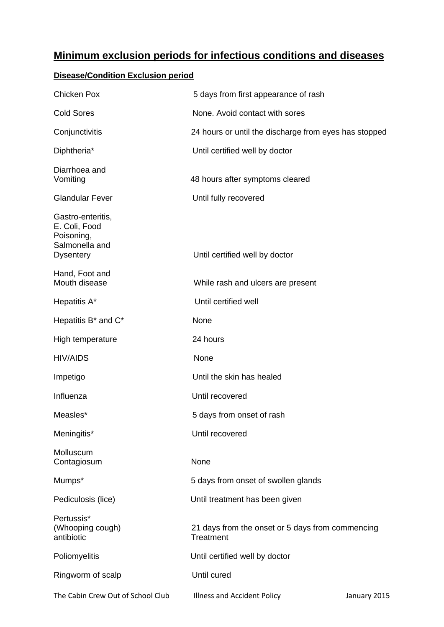## **Minimum exclusion periods for infectious conditions and diseases**

### **Disease/Condition Exclusion period**

| <b>Chicken Pox</b>                                                                     | 5 days from first appearance of rash                          |              |
|----------------------------------------------------------------------------------------|---------------------------------------------------------------|--------------|
| <b>Cold Sores</b>                                                                      | None. Avoid contact with sores                                |              |
| Conjunctivitis                                                                         | 24 hours or until the discharge from eyes has stopped         |              |
| Diphtheria*                                                                            | Until certified well by doctor                                |              |
| Diarrhoea and<br>Vomiting                                                              | 48 hours after symptoms cleared                               |              |
| <b>Glandular Fever</b>                                                                 | Until fully recovered                                         |              |
| Gastro-enteritis,<br>E. Coli, Food<br>Poisoning,<br>Salmonella and<br><b>Dysentery</b> | Until certified well by doctor                                |              |
| Hand, Foot and<br>Mouth disease                                                        | While rash and ulcers are present                             |              |
| Hepatitis A*                                                                           | Until certified well                                          |              |
| Hepatitis B <sup>*</sup> and C <sup>*</sup>                                            | None                                                          |              |
| High temperature                                                                       | 24 hours                                                      |              |
| <b>HIV/AIDS</b>                                                                        | None                                                          |              |
| Impetigo                                                                               | Until the skin has healed                                     |              |
| Influenza                                                                              | Until recovered                                               |              |
| Measles*                                                                               | 5 days from onset of rash                                     |              |
| Meningitis*                                                                            | Until recovered                                               |              |
| Molluscum<br>Contagiosum                                                               | None                                                          |              |
| Mumps*                                                                                 | 5 days from onset of swollen glands                           |              |
| Pediculosis (lice)                                                                     | Until treatment has been given                                |              |
| Pertussis*<br>(Whooping cough)<br>antibiotic                                           | 21 days from the onset or 5 days from commencing<br>Treatment |              |
| Poliomyelitis                                                                          | Until certified well by doctor                                |              |
| Ringworm of scalp                                                                      | Until cured                                                   |              |
| The Cabin Crew Out of School Club                                                      | Illness and Accident Policy                                   | January 2015 |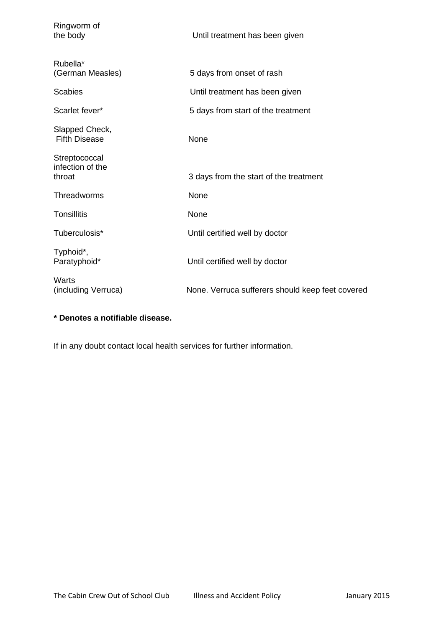| Ringworm of<br>the body                     | Until treatment has been given                   |
|---------------------------------------------|--------------------------------------------------|
| Rubella*<br>(German Measles)                | 5 days from onset of rash                        |
| <b>Scabies</b>                              | Until treatment has been given                   |
| Scarlet fever*                              | 5 days from start of the treatment               |
| Slapped Check,<br><b>Fifth Disease</b>      | None                                             |
| Streptococcal<br>infection of the<br>throat | 3 days from the start of the treatment           |
| Threadworms                                 | None                                             |
| Tonsillitis                                 | None                                             |
| Tuberculosis*                               | Until certified well by doctor                   |
| Typhoid*,<br>Paratyphoid*                   | Until certified well by doctor                   |
| Warts<br>(including Verruca)                | None. Verruca sufferers should keep feet covered |

### **\* Denotes a notifiable disease.**

If in any doubt contact local health services for further information.